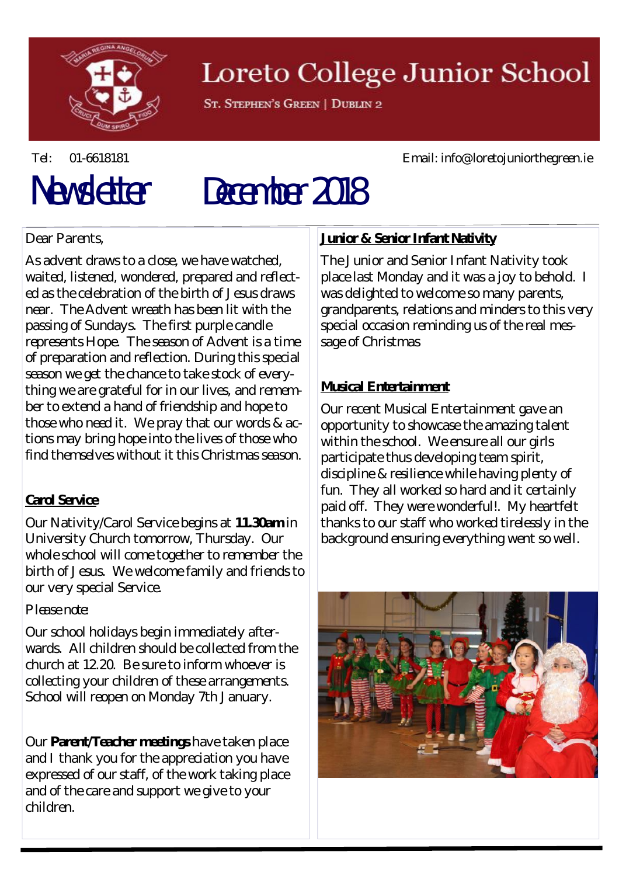

## Loreto College Junior School

ST. STEPHEN'S GREEN | DUBLIN 2

#### Tel: 01-6618181 Email: info@loretojuniorthegreen.ie

# Newsletter December 2018

#### Dear Parents,

As advent draws to a close, we have watched, waited, listened, wondered, prepared and reflected as the celebration of the birth of Jesus draws near. The Advent wreath has been lit with the passing of Sundays. The first purple candle represents Hope. The season of Advent is a time of preparation and reflection. During this special season we get the chance to take stock of everything we are grateful for in our lives, and remember to extend a hand of friendship and hope to those who need it. We pray that our words & actions may bring hope into the lives of those who find themselves without it this Christmas season.

#### **Carol Service**

Our Nativity/Carol Service begins at **11.30am** in University Church tomorrow, Thursday. Our whole school will come together to remember the birth of Jesus. We welcome family and friends to our very special Service.

#### *Please note:*

Our school holidays begin immediately afterwards. All children should be collected from the church at 12.20. Be sure to inform whoever is collecting your children of these arrangements. School will reopen on Monday 7th January.

Our **Parent/Teacher meetings** have taken place and I thank you for the appreciation you have expressed of our staff, of the work taking place and of the care and support we give to your children.

#### **Junior & Senior Infant Nativity**

The Junior and Senior Infant Nativity took place last Monday and it was a joy to behold. I was delighted to welcome so many parents, grandparents, relations and minders to this very special occasion reminding us of the real message of Christmas

#### **Musical Entertainment**

Our recent Musical Entertainment gave an opportunity to showcase the amazing talent within the school. We ensure all our girls participate thus developing team spirit, discipline & resilience while having plenty of fun. They all worked so hard and it certainly paid off. They were wonderful!. My heartfelt thanks to our staff who worked tirelessly in the background ensuring everything went so well.